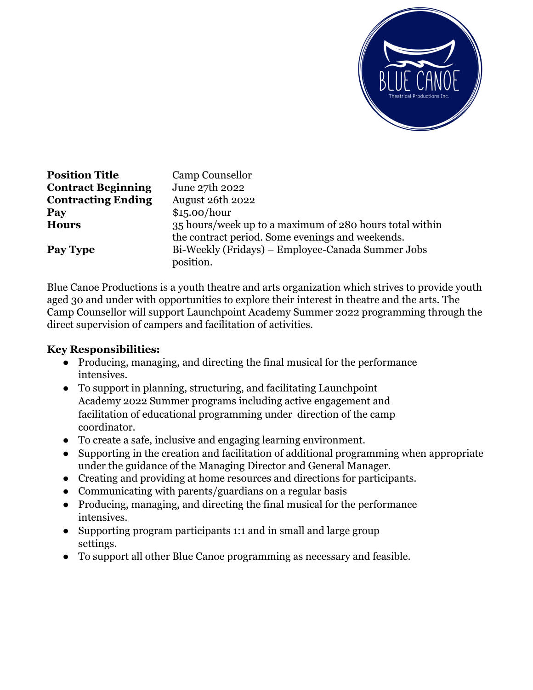

| <b>Position Title</b>     | Camp Counsellor                                                                                             |
|---------------------------|-------------------------------------------------------------------------------------------------------------|
| <b>Contract Beginning</b> | June 27th 2022                                                                                              |
| <b>Contracting Ending</b> | August 26th 2022                                                                                            |
| Pay                       | \$15.00/hour                                                                                                |
| <b>Hours</b>              | 35 hours/week up to a maximum of 280 hours total within<br>the contract period. Some evenings and weekends. |
| Pay Type                  | Bi-Weekly (Fridays) – Employee-Canada Summer Jobs<br>position.                                              |

Blue Canoe Productions is a youth theatre and arts organization which strives to provide youth aged 30 and under with opportunities to explore their interest in theatre and the arts. The Camp Counsellor will support Launchpoint Academy Summer 2022 programming through the direct supervision of campers and facilitation of activities.

## **Key Responsibilities:**

- Producing, managing, and directing the final musical for the performance intensives.
- To support in planning, structuring, and facilitating Launchpoint Academy 2022 Summer programs including active engagement and facilitation of educational programming under direction of the camp coordinator.
- To create a safe, inclusive and engaging learning environment.
- Supporting in the creation and facilitation of additional programming when appropriate under the guidance of the Managing Director and General Manager.
- Creating and providing at home resources and directions for participants.
- Communicating with parents/guardians on a regular basis
- Producing, managing, and directing the final musical for the performance intensives.
- Supporting program participants 1:1 and in small and large group settings.
- To support all other Blue Canoe programming as necessary and feasible.